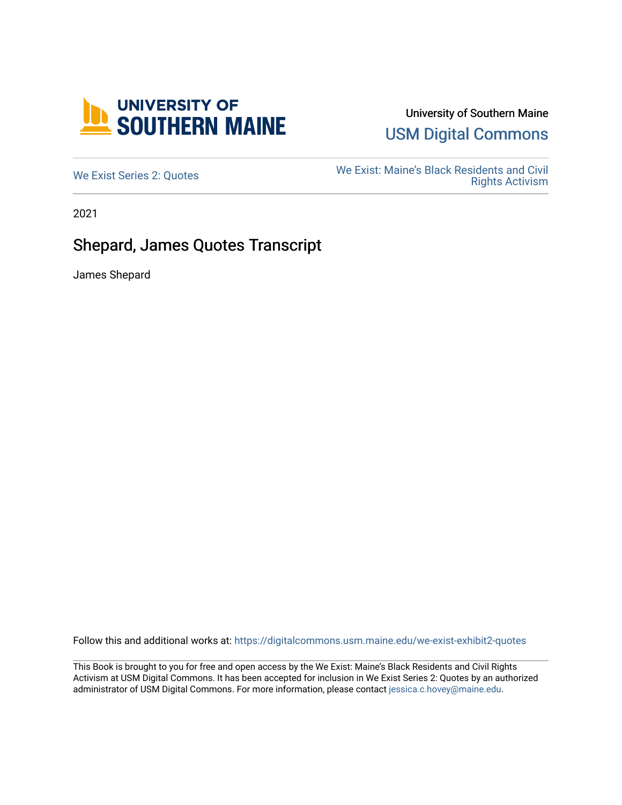

## University of Southern Maine [USM Digital Commons](https://digitalcommons.usm.maine.edu/)

We Exist: Maine's Black Residents and Civil<br>Me Exist: Maine's Black Residents and Civil [Rights Activism](https://digitalcommons.usm.maine.edu/we-exist-exhibit2) 

2021

## Shepard, James Quotes Transcript

James Shepard

Follow this and additional works at: [https://digitalcommons.usm.maine.edu/we-exist-exhibit2-quotes](https://digitalcommons.usm.maine.edu/we-exist-exhibit2-quotes?utm_source=digitalcommons.usm.maine.edu%2Fwe-exist-exhibit2-quotes%2F3&utm_medium=PDF&utm_campaign=PDFCoverPages) 

This Book is brought to you for free and open access by the We Exist: Maine's Black Residents and Civil Rights Activism at USM Digital Commons. It has been accepted for inclusion in We Exist Series 2: Quotes by an authorized administrator of USM Digital Commons. For more information, please contact [jessica.c.hovey@maine.edu.](mailto:ian.fowler@maine.edu)